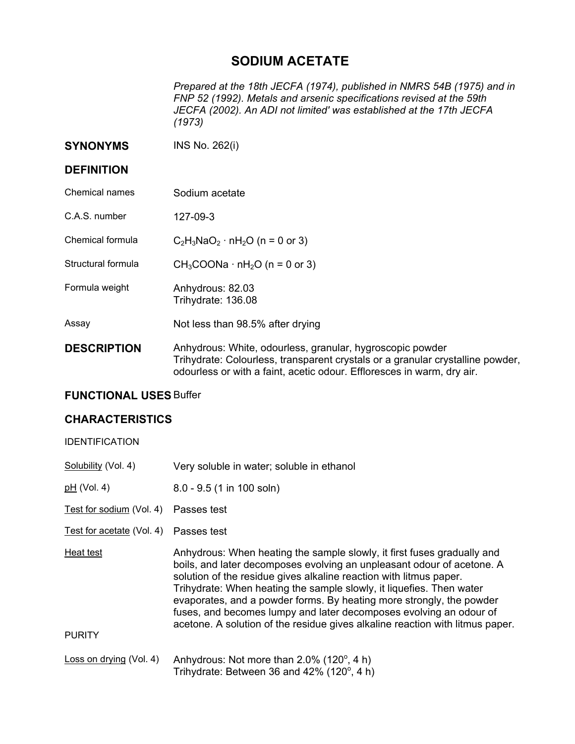## **SODIUM ACETATE**

*Prepared at the 18th JECFA (1974), published in NMRS 54B (1975) and in FNP 52 (1992). Metals and arsenic specifications revised at the 59th JECFA (2002). An ADI not limited' was established at the 17th JECFA (1973)* 

**SYNONYMS** INS No. 262(i)

## **DEFINITION**

- Chemical names Sodium acetate
- C.A.S. number 127-09-3
- Chemical formula  $C_2H_3NaO_2 \cdot nH_2O$  (n = 0 or 3)
- Structural formula  $CH_3COONa \cdot nH_2O (n = 0 \text{ or } 3)$
- Formula weight **Anhydrous: 82.03** Trihydrate: 136.08
- Assay Not less than 98.5% after drying
- **DESCRIPTION** Anhydrous: White, odourless, granular, hygroscopic powder Trihydrate: Colourless, transparent crystals or a granular crystalline powder, odourless or with a faint, acetic odour. Effloresces in warm, dry air.

## **FUNCTIONAL USES** Buffer

## **CHARACTERISTICS**

| UNARAU I ERIJ I IUJ                   |                                                                                                                                                                                                                                                                                                                                                                                                                                                                                                                                |
|---------------------------------------|--------------------------------------------------------------------------------------------------------------------------------------------------------------------------------------------------------------------------------------------------------------------------------------------------------------------------------------------------------------------------------------------------------------------------------------------------------------------------------------------------------------------------------|
| <b>IDENTIFICATION</b>                 |                                                                                                                                                                                                                                                                                                                                                                                                                                                                                                                                |
| Solubility (Vol. 4)                   | Very soluble in water; soluble in ethanol                                                                                                                                                                                                                                                                                                                                                                                                                                                                                      |
| <u>pH</u> (Vol. 4)                    | $8.0 - 9.5$ (1 in 100 soln)                                                                                                                                                                                                                                                                                                                                                                                                                                                                                                    |
| Test for sodium (Vol. 4) Passes test  |                                                                                                                                                                                                                                                                                                                                                                                                                                                                                                                                |
| Test for acetate (Vol. 4) Passes test |                                                                                                                                                                                                                                                                                                                                                                                                                                                                                                                                |
| Heat test<br><b>PURITY</b>            | Anhydrous: When heating the sample slowly, it first fuses gradually and<br>boils, and later decomposes evolving an unpleasant odour of acetone. A<br>solution of the residue gives alkaline reaction with litmus paper.<br>Trihydrate: When heating the sample slowly, it liquefies. Then water<br>evaporates, and a powder forms. By heating more strongly, the powder<br>fuses, and becomes lumpy and later decomposes evolving an odour of<br>acetone. A solution of the residue gives alkaline reaction with litmus paper. |
| Loss on drying (Vol. 4)               | Anhydrous: Not more than 2.0% (120°, 4 h)                                                                                                                                                                                                                                                                                                                                                                                                                                                                                      |

Trihydrate: Between 36 and 42%  $(120^{\circ}, 4 h)$